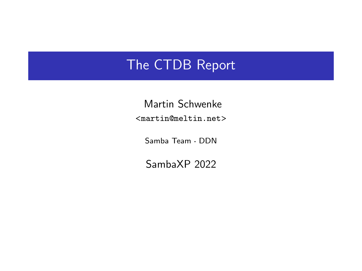## <span id="page-0-0"></span>The CTDB Report

Martin Schwenke <martin@meltin.net>

Samba Team DDN

SambaXP 2022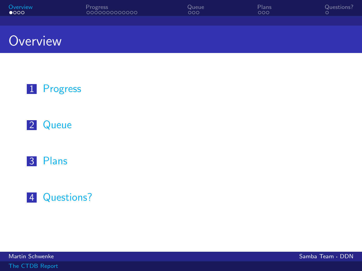<span id="page-1-0"></span>

| Overview      | <b>Progress</b> | Queue | Plans | Questions? |
|---------------|-----------------|-------|-------|------------|
| $\bullet$ 000 | loooooooooooo   | ೦೦೦   | DOO   |            |
|               |                 |       |       |            |

## **Overview**









[The CTDB Report](#page-0-0)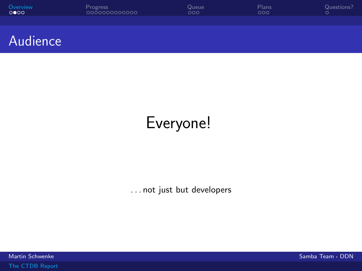<span id="page-2-0"></span>

| Overview                    | Progress      | Queue | Plans | Questions? |
|-----------------------------|---------------|-------|-------|------------|
| $\circ \bullet \circ \circ$ | 0000000000000 | ೦೦೦   | 000   |            |
|                             |               |       |       |            |

#### Audience

## Everyone!

. . . not just but developers

[The CTDB Report](#page-0-0)

مية المسابق المسابق المسابق المسابق المسابق المسابق المسابق المسابق المسابق المسابق المسابق المسابق المسابق ال<br>المسابق المسابق المسابق المسابق المسابق المسابق المسابق المسابق المسابق المسابق المسابق المسابق المسابق المساب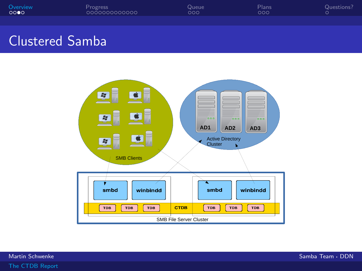<span id="page-3-0"></span>

### Clustered Samba

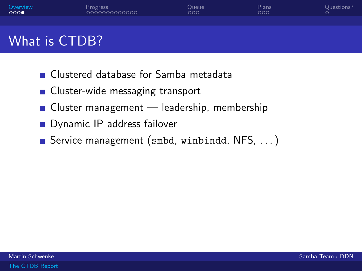<span id="page-4-0"></span>

## What is CTDB?

- Clustered database for Samba metadata
- **Cluster-wide messaging transport**
- Cluster management leadership, membership
- **Dynamic IP address failover**
- Service management (smbd, winbindd, NFS, ...)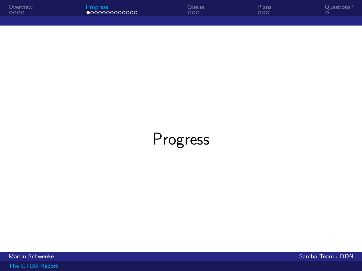<span id="page-5-0"></span>

| Overview | Progress               | Queue | Plans | Questions? |
|----------|------------------------|-------|-------|------------|
| 0000     | $\bullet$ 000000000000 | ooo   | OOO   |            |
|          |                        |       |       |            |

# Progress

مية المسابق المسابق المسابق المسابق المسابق المسابق المسابق المسابق المسابق المسابق المسابق المسابق المسابق ال<br>المسابق المسابق المسابق المسابق المسابق المسابق المسابق المسابق المسابق المسابق المسابق المسابق المسابق المساب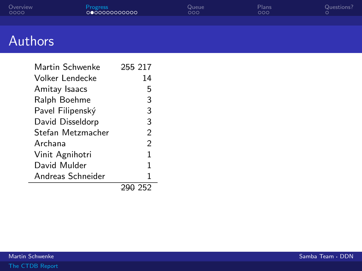<span id="page-6-0"></span>

| Overview | Progress      | Queue | Plans | Questions? |
|----------|---------------|-------|-------|------------|
| 0000     | 0000000000000 | ೦೦೦   | ೧೦೦   |            |
|          |               |       |       |            |

## Authors

| Martin Schwenke   | 255 217        |
|-------------------|----------------|
| Volker Lendecke   | 14             |
| Amitay Isaacs     | 5              |
| Ralph Boehme      | 3              |
| Pavel Filipenský  | 3              |
| David Disseldorp  | 3              |
| Stefan Metzmacher | $\mathfrak{D}$ |
| Archana           | $\mathfrak{D}$ |
| Vinit Agnihotri   | 1              |
| David Mulder      | 1              |
| Andreas Schneider | 1              |
|                   | 7 252          |

 $\overline{\phantom{a}}$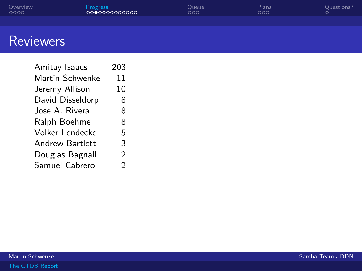<span id="page-7-0"></span>

| Overview | <b>Progress</b> | Queue | Plans | <b>Questions</b> |
|----------|-----------------|-------|-------|------------------|
| 0000     | 000000000000    | ೦೦೦   | 000   |                  |
|          |                 |       |       |                  |

## **Reviewers**

| Amitay Isaacs          | 203 |
|------------------------|-----|
| Martin Schwenke        | 11  |
| Jeremy Allison         | 10  |
| David Disseldorp       | 8   |
| Jose A. Rivera         | 8   |
| Ralph Boehme           | 8   |
| <b>Volker Lendecke</b> | 5   |
| <b>Andrew Bartlett</b> | 3   |
| Douglas Bagnall        | 2   |
| Samuel Cabrero         | 2   |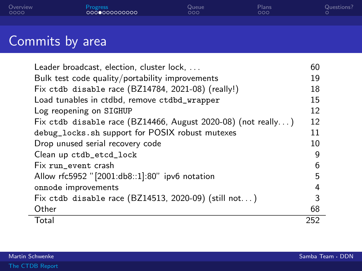<span id="page-8-0"></span>

| Overview | Progress         | Queue | Plans | Questions? |
|----------|------------------|-------|-------|------------|
| 0000     | LOOOOOOOOOOOOO ' | ೦೦೦   | DOO   |            |
|          |                  |       |       |            |

## Commits by area

| Leader broadcast, election, cluster lock,                    | 60  |
|--------------------------------------------------------------|-----|
| Bulk test code quality/portability improvements              | 19  |
| Fix ctdb disable race (BZ14784, 2021-08) (really!)           | 18  |
| Load tunables in ctdbd, remove ctdbd_wrapper                 | 15  |
| Log reopening on SIGHUP                                      | 12  |
| Fix ctdb disable race (BZ14466, August 2020-08) (not really) | 12  |
| debug_locks.sh support for POSIX robust mutexes              | 11  |
| Drop unused serial recovery code                             | 10  |
| Clean up ctdb_etcd_lock                                      | 9   |
| Fix run_event crash                                          | 6   |
| Allow rfc5952 "[2001:db8::1]:80" ipv6 notation               | 5   |
| onnode improvements                                          | 4   |
| Fix ctdb disable race (BZ14513, 2020-09) (still not)         | 3   |
| Other                                                        | 68  |
| Total                                                        | 252 |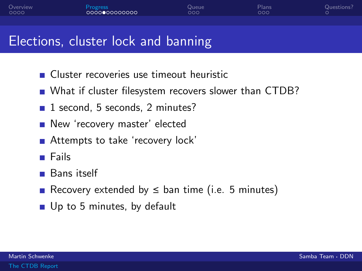<span id="page-9-0"></span>

## Elections, cluster lock and banning

- Cluster recoveries use timeout heuristic
- What if cluster filesystem recovers slower than CTDB?
- $\blacksquare$  1 second, 5 seconds, 2 minutes?
- New 'recovery master' elected
- Attempts to take 'recovery lock'
- **■** Fails
- Bans itself
- Recovery extended by  $\leq$  ban time (i.e. 5 minutes)
- Up to 5 minutes, by default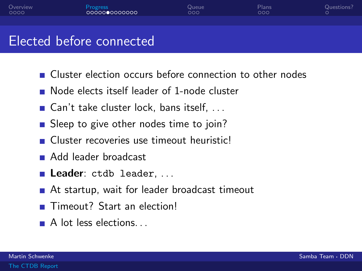### <span id="page-10-0"></span>Elected before connected

- **Cluster election occurs before connection to other nodes**
- Node elects itself leader of 1-node cluster
- Gan't take cluster lock, bans itself,  $\dots$
- Sleep to give other nodes time to join?
- Cluster recoveries use timeout heuristic!
- Add leader broadcast
- Leader: ctdb leader, ...
- At startup, wait for leader broadcast timeout
- Timeout? Start an election!
- A lot less elections...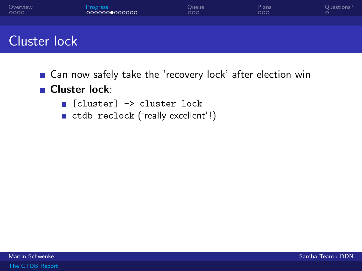

### Cluster lock

■ Can now safely take the 'recovery lock' after election win

#### **Cluster lock:**

- **[accel Cluster]** -> cluster lock
- ctdb reclock ('really excellent'!)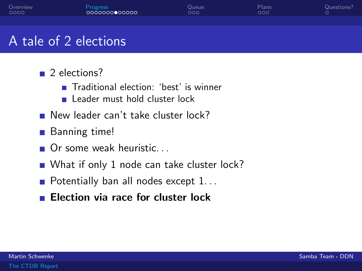| Overview | Progress      | Queue | Plans | Questions? |
|----------|---------------|-------|-------|------------|
| 0000     | 0000000000000 | 000   | ೦೦೦   |            |
|          |               |       |       |            |

## A tale of 2 elections

- 2 elections?
	- Traditional election: 'best' is winner
	- **Leader must hold cluster lock**
- New leader can't take cluster lock?
- **Banning time!**
- Or some weak heuristic...
- What if only 1 node can take cluster lock?
- Potentially ban all nodes except  $1...$
- **Election via race for cluster lock**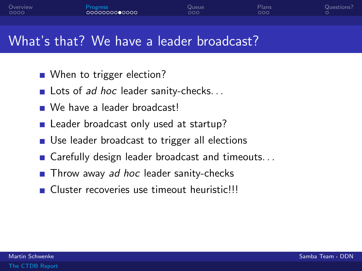### What's that? We have a leader broadcast?

- When to trigger election?
- Lots of ad hoc leader sanity-checks...
- We have a leader broadcastl
- Leader broadcast only used at startup?
- Use leader broadcast to trigger all elections
- Carefully design leader broadcast and timeouts...
- $\blacksquare$  Throw away ad hoc leader sanity-checks
- Cluster recoveries use timeout heuristic!!!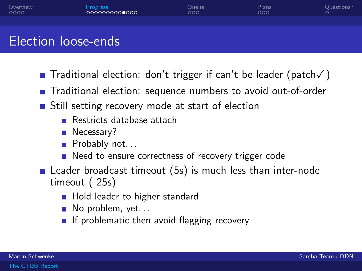## Election loose-ends

- Traditional election: don't trigger if can't be leader (patch√)
- Traditional election: sequence numbers to avoid out-of-order
- **Still setting recovery mode at start of election** 
	- Restricts database attach
	- Necessary?
	- Probably not...
	- Need to ensure correctness of recovery trigger code
- Leader broadcast timeout (5s) is much less than inter-node timeout ( 25s)
	- **Hold leader to higher standard**
	- $\blacksquare$  No problem, yet...
	- If problematic then avoid flagging recovery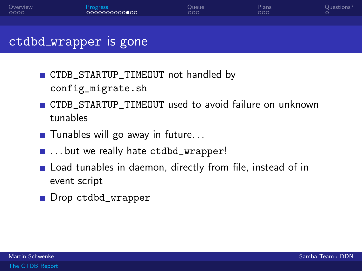| Overview | Progress      | Queue | Plans | Questions? |
|----------|---------------|-------|-------|------------|
| 0000     | 0000000000000 | poc   | ೦೦೦   |            |
|          |               |       |       |            |

#### ctdbd wrapper is gone

- CTDB\_STARTUP\_TIMEOUT not handled by config\_migrate.sh
- CTDB\_STARTUP\_TIMEOUT used to avoid failure on unknown tunables
- $\blacksquare$  Tunables will go away in future...
- ... but we really hate ctdbd\_wrapper!
- **Example 1** Load tunables in daemon, directly from file, instead of in event script
- Drop ctdbd\_wrapper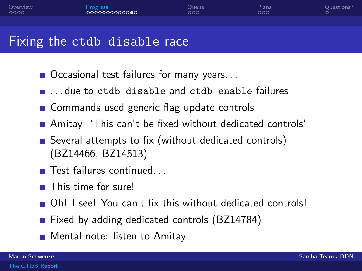### Fixing the ctdb disable race

- Occasional test failures for many years...
- $\blacksquare$  due to ctdb disable and ctdb enable failures
- Commands used generic flag update controls
- Amitay: 'This can't be fixed without dedicated controls'
- Several attempts to fix (without dedicated controls) (BZ14466, BZ14513)
- $\blacksquare$  Test failures continued...
- This time for sure!
- Oh! I see! You can't fix this without dedicated controls!
- Fixed by adding dedicated controls (BZ14784)
- **Mental note: listen to Amitay**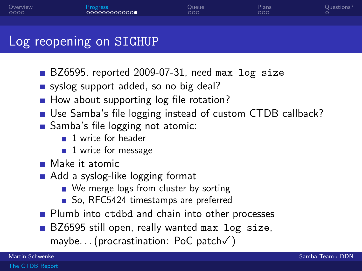#### Log reopening on SIGHUP

- BZ6595, reported 2009-07-31, need max log size
- syslog support added, so no big deal?
- How about supporting log file rotation?
- Use Samba's file logging instead of custom CTDB callback?
- Samba's file logging not atomic:
	- **1** write for header
	- $\blacksquare$  1 write for message
- **Make it atomic**
- Add a syslog-like logging format
	- We merge logs from cluster by sorting
	- So, RFC5424 timestamps are preferred
- **Plumb into ctdbd and chain into other processes**
- BZ6595 still open, really wanted max log size, maybe. . . (procrastination: PoC patch✓)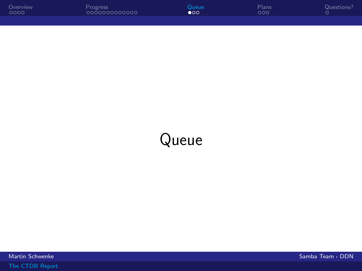<span id="page-18-0"></span>

| Overview | Progress      | Queue     | Plans | Questions? |
|----------|---------------|-----------|-------|------------|
| 0000     | 0000000000000 | $\bullet$ | ೦೦೦   |            |
|          |               |           |       |            |

## Queue

Martin Schwenke Samba Team · DDN · Camba Team · DDN · Samba Team · DDN · Samba Team · DDN · Samba Team · DDN ·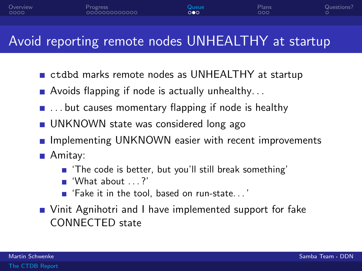## <span id="page-19-0"></span>Avoid reporting remote nodes UNHEALTHY at startup

- ctdbd marks remote nodes as UNHEALTHY at startup
- Avoids flapping if node is actually unhealthy...
- $\blacksquare$  ... but causes momentary flapping if node is healthy
- **UNKNOWN** state was considered long ago
- **Implementing UNKNOWN easier with recent improvements**
- **Amitay:** 
	- 'The code is better, but you'll still break something'
	- $\blacksquare$  'What about ....?'
	- 'Fake it in the tool, based on run-state. . . '
- Vinit Agnihotri and I have implemented support for fake CONNECTED state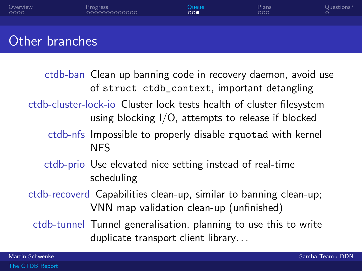<span id="page-20-0"></span>

| Overview<br>0000 | Progress<br>0000000000000 | Queue<br>$\circ \circ \bullet$ | Plans<br>000 | Questions?<br>$\circ$ |
|------------------|---------------------------|--------------------------------|--------------|-----------------------|
|                  |                           |                                |              |                       |
| Other branches   |                           |                                |              |                       |

- ctdb-ban Clean up banning code in recovery daemon, avoid use of struct ctdb\_context, important detangling
- ctdb-cluster-lock-io Cluster lock tests health of cluster filesystem using blocking I/O, attempts to release if blocked
	- ctdb-nfs Impossible to properly disable rquotad with kernel NFS
	- ctdb-prio Use elevated nice setting instead of real-time scheduling
- ctdb-recoverd Capabilities clean-up, similar to banning clean-up; VNN map validation clean-up (unfinished)
	- ctdb-tunnel Tunnel generalisation, planning to use this to write duplicate transport client library. . .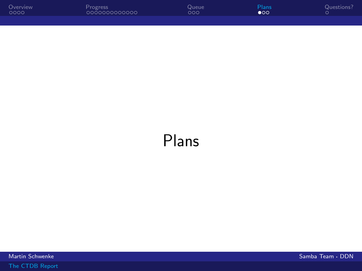<span id="page-21-0"></span>

| Overview | Progress      | Queue | <b>Plans</b> | Questions? |
|----------|---------------|-------|--------------|------------|
| 0000     | 0000000000000 | ೦೦೦   | $\bullet$ 00 |            |
|          |               |       |              |            |

## Plans

مية المسابق المسابق المسابق المسابق المسابق المسابق المسابق المسابق المسابق المسابق المسابق المسابق المسابق ال<br>المسابق المسابق المسابق المسابق المسابق المسابق المسابق المسابق المسابق المسابق المسابق المسابق المسابق المساب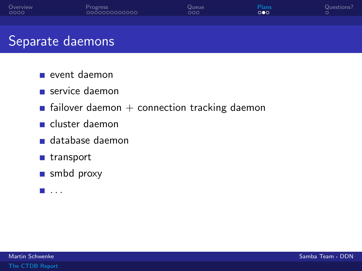<span id="page-22-0"></span>

| Overview | Progress      | Queue | Plans | Questions? |
|----------|---------------|-------|-------|------------|
| 0000     | 0000000000000 | ooo   | ಂ∙ಂ   |            |
|          |               |       |       |            |

### Separate daemons

- event daemon
- service daemon
- **Fi** failover daemon  $+$  connection tracking daemon
- cluster daemon
- database daemon
- transport
- smbd proxy
- $\blacksquare$  . . .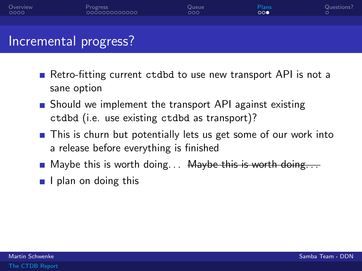<span id="page-23-0"></span>

#### Incremental progress?

- Retro-fitting current ctdbd to use new transport API is not a sane option
- **Should we implement the transport API against existing** ctdbd (i.e. use existing ctdbd as transport)?
- **This is churn but potentially lets us get some of our work into** a release before everything is finished
- **Maybe this is worth doing...** Maybe this is worth doing...
- $\blacksquare$  I plan on doing this